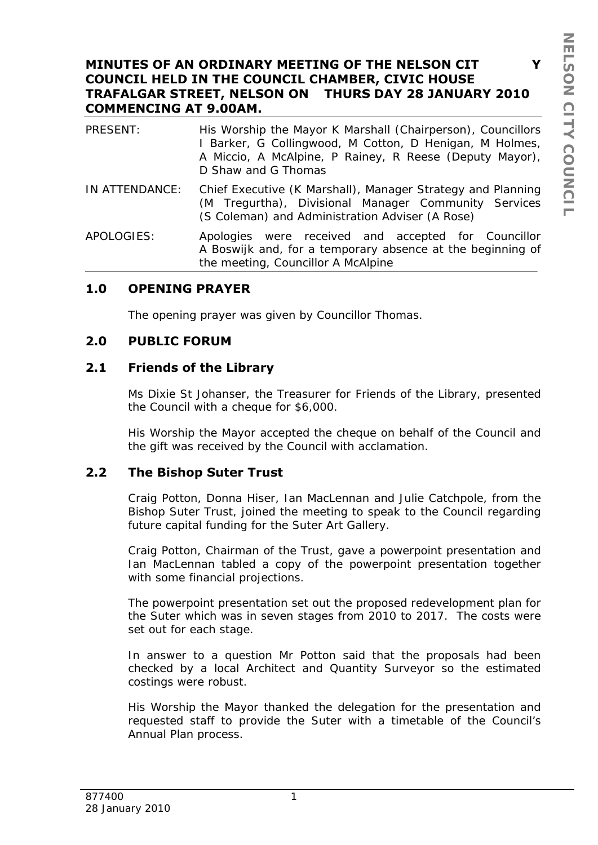### **MINUTES OF AN ORDINARY MEETING OF THE NELSON CIT Y COUNCIL HELD IN THE COUNCIL CHAMBER, CIVIC HOUSE TRAFALGAR STREET, NELSON ON THURS DAY 28 JANUARY 2010 COMMENCING AT 9.00AM.**

| PRESENT:       | His Worship the Mayor K Marshall (Chairperson), Councillors<br>I Barker, G Collingwood, M Cotton, D Henigan, M Holmes,<br>A Miccio, A McAlpine, P Rainey, R Reese (Deputy Mayor),<br>D Shaw and G Thomas |
|----------------|----------------------------------------------------------------------------------------------------------------------------------------------------------------------------------------------------------|
| IN ATTENDANCE: | Chief Executive (K Marshall), Manager Strategy and Planning<br>(M Tregurtha), Divisional Manager Community Services<br>(S Coleman) and Administration Adviser (A Rose)                                   |
| APOLOGIES:     | Apologies were received and accepted for Councillor<br>A Boswijk and, for a temporary absence at the beginning of<br>the meeting, Councillor A McAlpine                                                  |

### **1.0 OPENING PRAYER**

The opening prayer was given by Councillor Thomas.

### **2.0 PUBLIC FORUM**

### **2.1 Friends of the Library**

Ms Dixie St Johanser, the Treasurer for Friends of the Library, presented the Council with a cheque for \$6,000.

His Worship the Mayor accepted the cheque on behalf of the Council and the gift was received by the Council with acclamation.

### **2.2 The Bishop Suter Trust**

Craig Potton, Donna Hiser, Ian MacLennan and Julie Catchpole, from the Bishop Suter Trust, joined the meeting to speak to the Council regarding future capital funding for the Suter Art Gallery.

Craig Potton, Chairman of the Trust, gave a powerpoint presentation and Ian MacLennan tabled a copy of the powerpoint presentation together with some financial projections.

The powerpoint presentation set out the proposed redevelopment plan for the Suter which was in seven stages from 2010 to 2017. The costs were set out for each stage.

In answer to a question Mr Potton said that the proposals had been checked by a local Architect and Quantity Surveyor so the estimated costings were robust.

His Worship the Mayor thanked the delegation for the presentation and requested staff to provide the Suter with a timetable of the Council's Annual Plan process.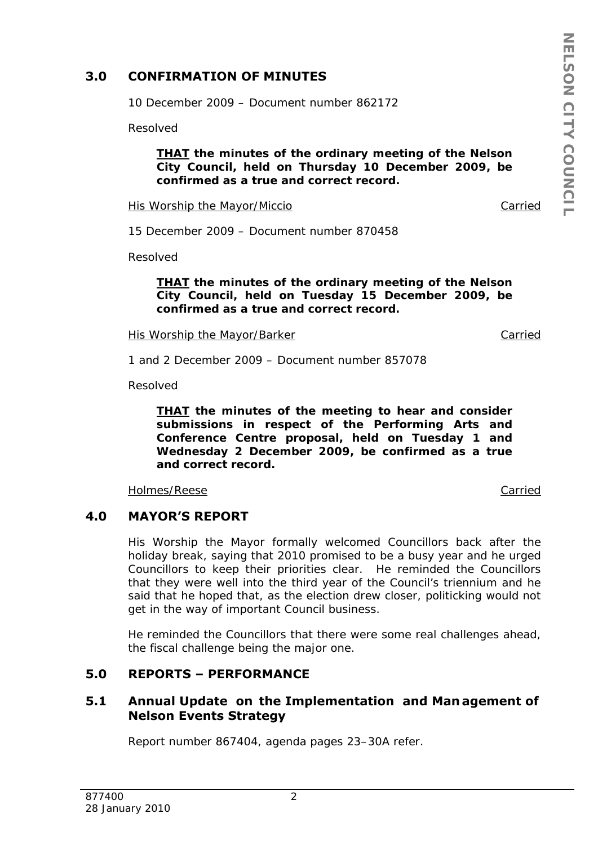## **3.0 CONFIRMATION OF MINUTES**

10 December 2009 – Document number 862172

Resolved

#### *THAT the minutes of the ordinary meeting of the Nelson City Council, held on Thursday 10 December 2009, be confirmed as a true and correct record.*

His Worship the Mayor/Miccio Carried

15 December 2009 – Document number 870458

Resolved

*THAT the minutes of the ordinary meeting of the Nelson City Council, held on Tuesday 15 December 2009, be confirmed as a true and correct record.* 

His Worship the Mayor/Barker Carried Carried

1 and 2 December 2009 – Document number 857078

Resolved

*THAT the minutes of the meeting to hear and consider submissions in respect of the Performing Arts and Conference Centre proposal, held on Tuesday 1 and Wednesday 2 December 2009, be confirmed as a true and correct record.* 

Holmes/Reese Carried

## **4.0 MAYOR'S REPORT**

His Worship the Mayor formally welcomed Councillors back after the holiday break, saying that 2010 promised to be a busy year and he urged Councillors to keep their priorities clear. He reminded the Councillors that they were well into the third year of the Council's triennium and he said that he hoped that, as the election drew closer, politicking would not get in the way of important Council business.

He reminded the Councillors that there were some real challenges ahead, the fiscal challenge being the major one.

## **5.0 REPORTS – PERFORMANCE**

## **5.1 Annual Update on the Implementation and Man agement of Nelson Events Strategy**

Report number 867404, agenda pages 23–30A refer.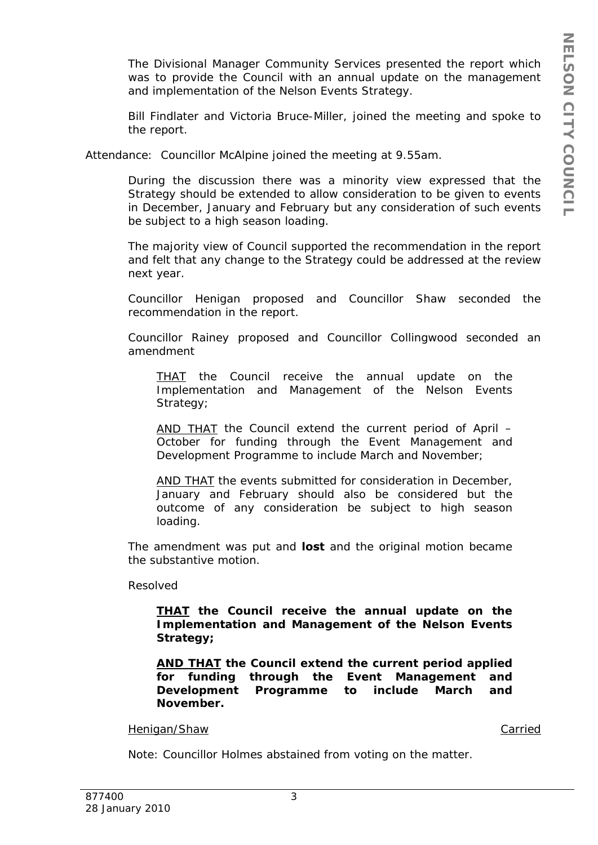The Divisional Manager Community Services presented the report which was to provide the Council with an annual update on the management and implementation of the Nelson Events Strategy.

Bill Findlater and Victoria Bruce-Miller, joined the meeting and spoke to the report.

Attendance: Councillor McAlpine joined the meeting at 9.55am.

During the discussion there was a minority view expressed that the Strategy should be extended to allow consideration to be given to events in December, January and February but any consideration of such events be subject to a high season loading.

The majority view of Council supported the recommendation in the report and felt that any change to the Strategy could be addressed at the review next year.

Councillor Henigan proposed and Councillor Shaw seconded the recommendation in the report.

Councillor Rainey proposed and Councillor Collingwood seconded an amendment

*THAT the Council receive the annual update on the Implementation and Management of the Nelson Events Strategy;* 

*AND THAT the Council extend the current period of April – October for funding through the Event Management and Development Programme to include March and November;* 

*AND THAT the events submitted for consideration in December,*  January and February should also be considered but the *outcome of any consideration be subject to high season loading.* 

The amendment was put and **lost** and the original motion became the substantive motion.

Resolved

*THAT the Council receive the annual update on the Implementation and Management of the Nelson Events Strategy;* 

*AND THAT the Council extend the current period applied for funding through the Event Management and Development Programme to include March and November.* 

Henigan/Shaw Carried

Note: Councillor Holmes abstained from voting on the matter.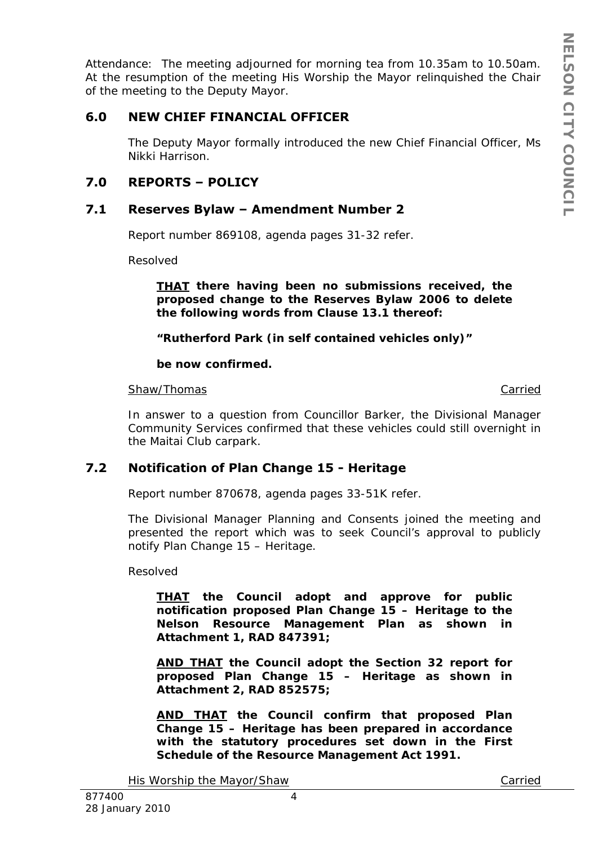Attendance: The meeting adjourned for morning tea from 10.35am to 10.50am. At the resumption of the meeting His Worship the Mayor relinquished the Chair of the meeting to the Deputy Mayor.

## **6.0 NEW CHIEF FINANCIAL OFFICER**

The Deputy Mayor formally introduced the new Chief Financial Officer, Ms Nikki Harrison.

# **7.0 REPORTS – POLICY**

## **7.1 Reserves Bylaw – Amendment Number 2**

Report number 869108, agenda pages 31-32 refer.

Resolved

*THAT there having been no submissions received, the proposed change to the Reserves Bylaw 2006 to delete the following words from Clause 13.1 thereof:* 

*"Rutherford Park (in self contained vehicles only)"* 

*be now confirmed.* 

#### Shaw/Thomas Carried

In answer to a question from Councillor Barker, the Divisional Manager Community Services confirmed that these vehicles could still overnight in the Maitai Club carpark.

## **7.2 Notification of Plan Change 15 - Heritage**

Report number 870678, agenda pages 33-51K refer.

The Divisional Manager Planning and Consents joined the meeting and presented the report which was to seek Council's approval to publicly notify Plan Change 15 – Heritage.

Resolved

*THAT the Council adopt and approve for public notification proposed Plan Change 15 – Heritage to the Nelson Resource Management Plan as shown in Attachment 1, RAD 847391;* 

*AND THAT the Council adopt the Section 32 report for proposed Plan Change 15 – Heritage as shown in Attachment 2, RAD 852575;* 

*AND THAT the Council confirm that proposed Plan Change 15 – Heritage has been prepared in accordance with the statutory procedures set down in the First Schedule of the Resource Management Act 1991.* 

His Worship the Mayor/Shaw Carried Carried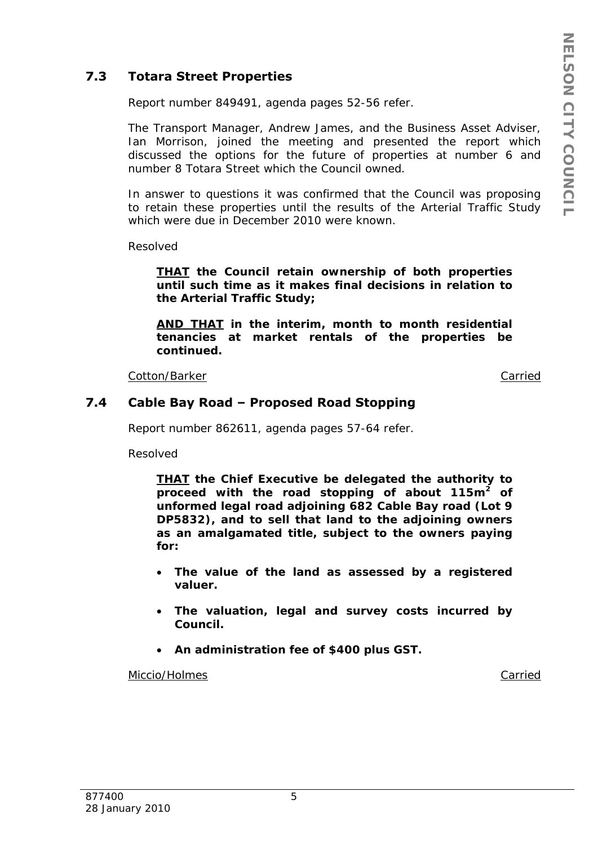# **7.3 Totara Street Properties**

Report number 849491, agenda pages 52-56 refer.

The Transport Manager, Andrew James, and the Business Asset Adviser, Ian Morrison, joined the meeting and presented the report which discussed the options for the future of properties at number 6 and number 8 Totara Street which the Council owned.

In answer to questions it was confirmed that the Council was proposing to retain these properties until the results of the Arterial Traffic Study which were due in December 2010 were known.

Resolved

*THAT the Council retain ownership of both properties until such time as it makes final decisions in relation to the Arterial Traffic Study;* 

*AND THAT in the interim, month to month residential tenancies at market rentals of the properties be continued.* 

Cotton/Barker Carried

### **7.4 Cable Bay Road – Proposed Road Stopping**

Report number 862611, agenda pages 57-64 refer.

Resolved

*THAT the Chief Executive be delegated the authority to proceed with the road stopping of about 115m2 of unformed legal road adjoining 682 Cable Bay road (Lot 9 DP5832), and to sell that land to the adjoining owners as an amalgamated title, subject to the owners paying for:* 

- *The value of the land as assessed by a registered valuer.*
- *The valuation, legal and survey costs incurred by Council.*
- *An administration fee of \$400 plus GST.*

Miccio/Holmes **Carried**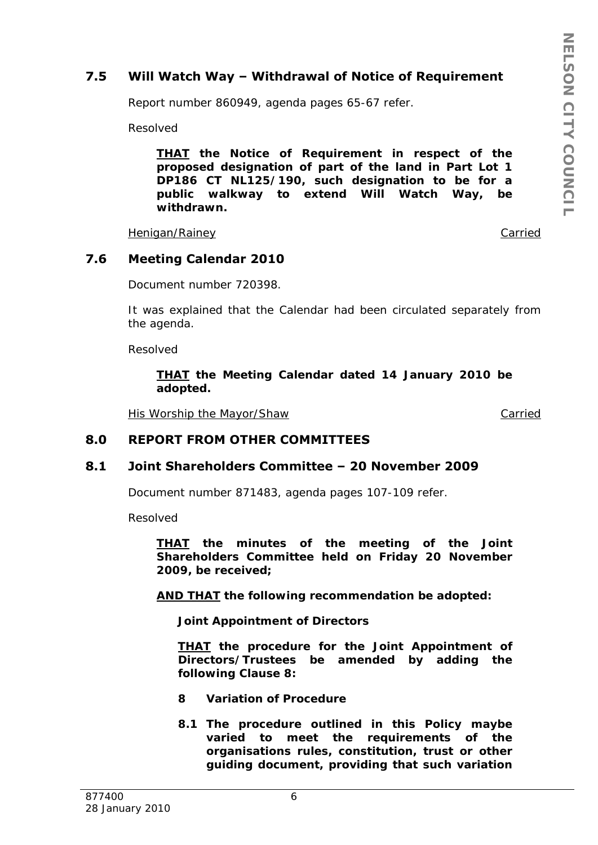# **7.5 Will Watch Way – Withdrawal of Notice of Requirement**

Report number 860949, agenda pages 65-67 refer.

Resolved

*THAT the Notice of Requirement in respect of the proposed designation of part of the land in Part Lot 1 DP186 CT NL125/190, such designation to be for a public walkway to extend Will Watch Way, be withdrawn.* 

Henigan/Rainey **Carried** 

**7.6 Meeting Calendar 2010** 

Document number 720398.

It was explained that the Calendar had been circulated separately from the agenda.

Resolved

*THAT the Meeting Calendar dated 14 January 2010 be adopted.* 

His Worship the Mayor/Shaw Carried

### **8.0 REPORT FROM OTHER COMMITTEES**

### **8.1 Joint Shareholders Committee – 20 November 2009**

Document number 871483, agenda pages 107-109 refer.

Resolved

*THAT the minutes of the meeting of the Joint Shareholders Committee held on Friday 20 November 2009, be received;* 

*AND THAT the following recommendation be adopted:* 

*Joint Appointment of Directors* 

*THAT the procedure for the Joint Appointment of Directors/Trustees be amended by adding the following Clause 8:* 

- *8 Variation of Procedure*
- *8.1 The procedure outlined in this Policy maybe varied to meet the requirements of the organisations rules, constitution, trust or other guiding document, providing that such variation*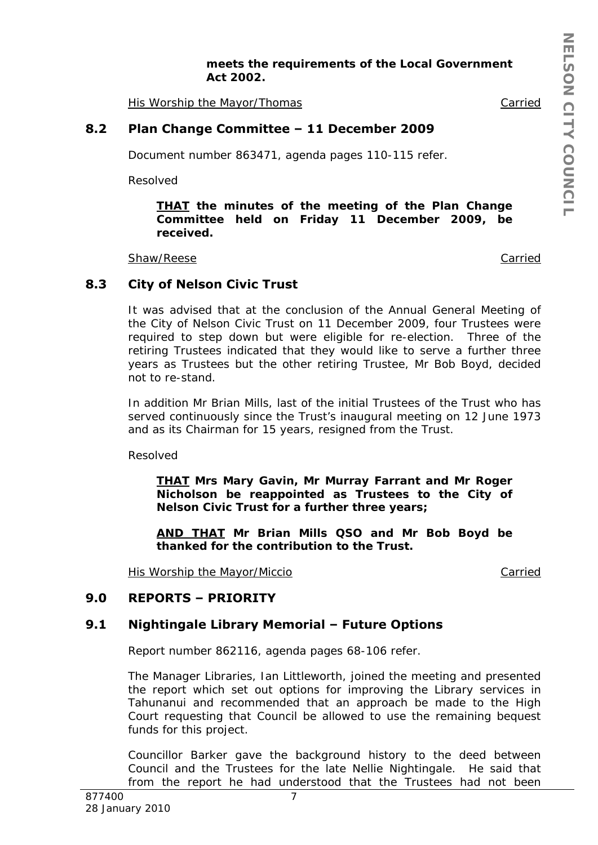*meets the requirements of the Local Government Act 2002.* 

His Worship the Mayor/Thomas Carried

### **8.2 Plan Change Committee – 11 December 2009**

Document number 863471, agenda pages 110-115 refer.

Resolved

*THAT the minutes of the meeting of the Plan Change Committee held on Friday 11 December 2009, be received.* 

Shaw/Reese Carried Carried Carried Carried Carried Carried Carried Carried Carried Carried Carried Carried Carried Carried Carried Carried Carried Carried Carried Carried Carried Carried Carried Carried Carried Carried Car

### **8.3 City of Nelson Civic Trust**

It was advised that at the conclusion of the Annual General Meeting of the City of Nelson Civic Trust on 11 December 2009, four Trustees were required to step down but were eligible for re-election. Three of the retiring Trustees indicated that they would like to serve a further three years as Trustees but the other retiring Trustee, Mr Bob Boyd, decided not to re-stand.

In addition Mr Brian Mills, last of the initial Trustees of the Trust who has served continuously since the Trust's inaugural meeting on 12 June 1973 and as its Chairman for 15 years, resigned from the Trust.

Resolved

*THAT Mrs Mary Gavin, Mr Murray Farrant and Mr Roger Nicholson be reappointed as Trustees to the City of Nelson Civic Trust for a further three years;* 

*AND THAT Mr Brian Mills QSO and Mr Bob Boyd be thanked for the contribution to the Trust.* 

His Worship the Mayor/Miccio Carried

### **9.0 REPORTS – PRIORITY**

# **9.1 Nightingale Library Memorial – Future Options**

Report number 862116, agenda pages 68-106 refer.

The Manager Libraries, Ian Littleworth, joined the meeting and presented the report which set out options for improving the Library services in Tahunanui and recommended that an approach be made to the High Court requesting that Council be allowed to use the remaining bequest funds for this project.

Councillor Barker gave the background history to the deed between Council and the Trustees for the late Nellie Nightingale. He said that from the report he had understood that the Trustees had not been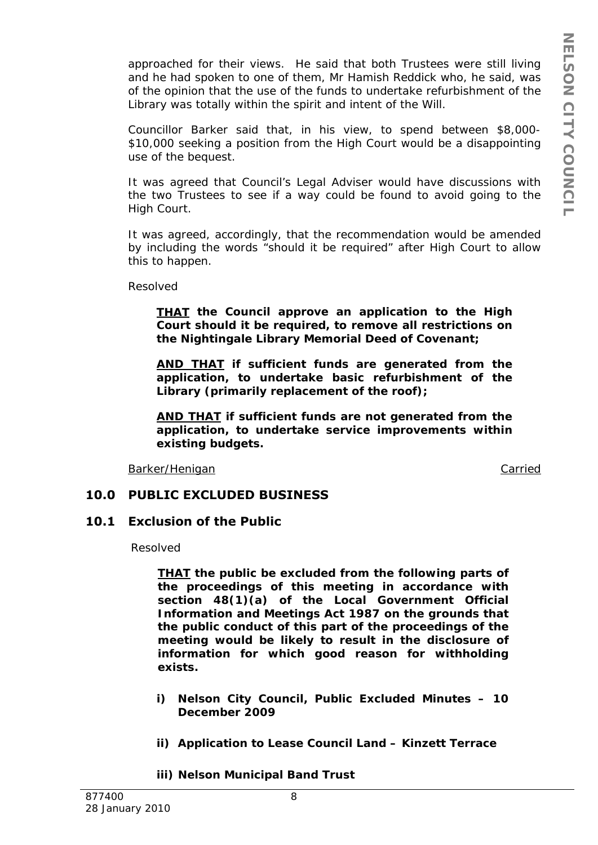approached for their views. He said that both Trustees were still living and he had spoken to one of them, Mr Hamish Reddick who, he said, was of the opinion that the use of the funds to undertake refurbishment of the Library was totally within the spirit and intent of the Will.

Councillor Barker said that, in his view, to spend between \$8,000- \$10,000 seeking a position from the High Court would be a disappointing use of the bequest.

It was agreed that Council's Legal Adviser would have discussions with the two Trustees to see if a way could be found to avoid going to the High Court.

It was agreed, accordingly, that the recommendation would be amended by including the words "should it be required" after High Court to allow this to happen.

Resolved

*THAT the Council approve an application to the High Court should it be required, to remove all restrictions on the Nightingale Library Memorial Deed of Covenant;* 

*AND THAT if sufficient funds are generated from the application, to undertake basic refurbishment of the Library (primarily replacement of the roof);* 

*AND THAT if sufficient funds are not generated from the application, to undertake service improvements within existing budgets.* 

Barker/Henigan Carried Carried Carried Carried Carried Carried Carried Carried Carried Carried Carried Carried

### **10.0 PUBLIC EXCLUDED BUSINESS**

### **10.1 Exclusion of the Public**

Resolved

*THAT the public be excluded from the following parts of the proceedings of this meeting in accordance with section 48(1)(a) of the Local Government Official Information and Meetings Act 1987 on the grounds that the public conduct of this part of the proceedings of the meeting would be likely to result in the disclosure of information for which good reason for withholding exists.* 

- *i) Nelson City Council, Public Excluded Minutes 10 December 2009*
- *ii) Application to Lease Council Land Kinzett Terrace*

*iii) Nelson Municipal Band Trust*